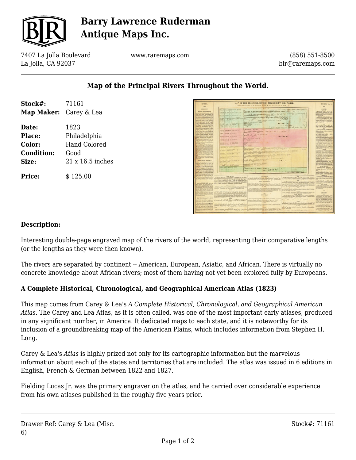

# **Barry Lawrence Ruderman Antique Maps Inc.**

7407 La Jolla Boulevard La Jolla, CA 92037

www.raremaps.com

(858) 551-8500 blr@raremaps.com

## **Map of the Principal Rivers Throughout the World.**

| Stock#:                       | 71161               |
|-------------------------------|---------------------|
| <b>Map Maker:</b> Carey & Lea |                     |
| Date:                         | 1823                |
| Place:                        | Philadelphia        |
| Color:                        | <b>Hand Colored</b> |
| <b>Condition:</b>             | Good                |
| Size:                         | 21 x 16.5 inches    |
| Price:                        | \$125.00            |



### **Description:**

Interesting double-page engraved map of the rivers of the world, representing their comparative lengths (or the lengths as they were then known).

The rivers are separated by continent -- American, European, Asiatic, and African. There is virtually no concrete knowledge about African rivers; most of them having not yet been explored fully by Europeans.

### **A Complete Historical, Chronological, and Geographical American Atlas (1823)**

This map comes from Carey & Lea's *A Complete Historical, Chronological, and Geographical American Atlas*. The Carey and Lea Atlas, as it is often called, was one of the most important early atlases, produced in any significant number, in America. It dedicated maps to each state, and it is noteworthy for its inclusion of a groundbreaking map of the American Plains, which includes information from Stephen H. Long.

Carey & Lea's *Atlas* is highly prized not only for its cartographic information but the marvelous information about each of the states and territories that are included. The atlas was issued in 6 editions in English, French & German between 1822 and 1827.

Fielding Lucas Jr. was the primary engraver on the atlas, and he carried over considerable experience from his own atlases published in the roughly five years prior.